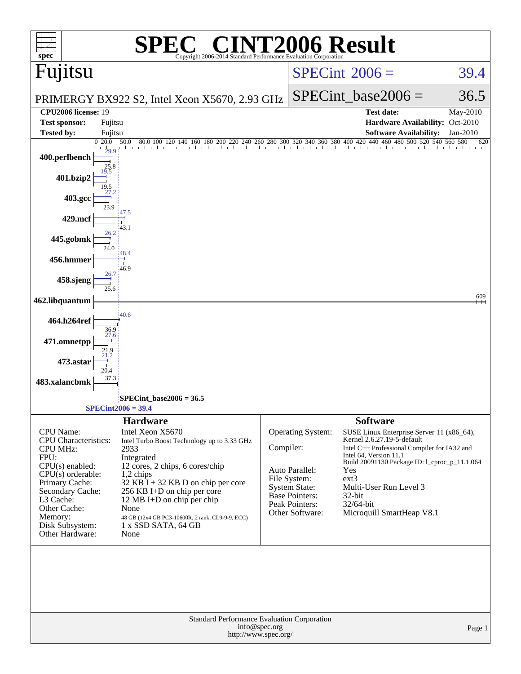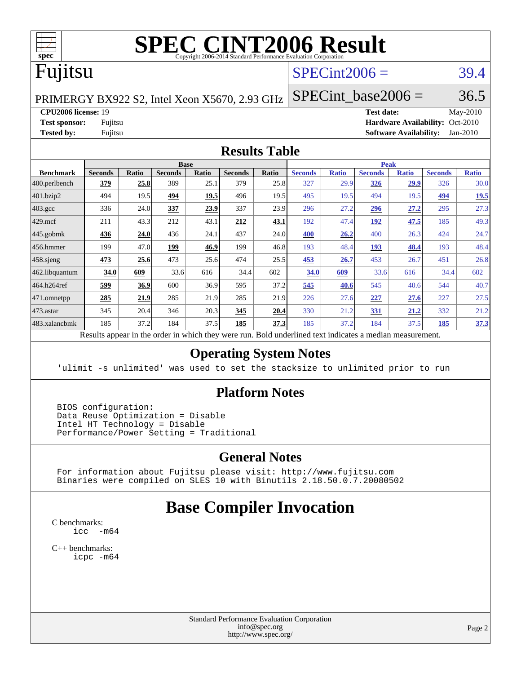

# **[SPEC CINT2006 Result](http://www.spec.org/auto/cpu2006/Docs/result-fields.html#SPECCINT2006Result)**

## Fujitsu

### $SPECint2006 = 39.4$  $SPECint2006 = 39.4$

PRIMERGY BX922 S2, Intel Xeon X5670, 2.93 GHz

SPECint base2006 =  $36.5$ 

#### **[CPU2006 license:](http://www.spec.org/auto/cpu2006/Docs/result-fields.html#CPU2006license)** 19 **[Test date:](http://www.spec.org/auto/cpu2006/Docs/result-fields.html#Testdate)** May-2010

**[Test sponsor:](http://www.spec.org/auto/cpu2006/Docs/result-fields.html#Testsponsor)** Fujitsu **[Hardware Availability:](http://www.spec.org/auto/cpu2006/Docs/result-fields.html#HardwareAvailability)** Oct-2010 **[Tested by:](http://www.spec.org/auto/cpu2006/Docs/result-fields.html#Testedby)** Fujitsu **[Software Availability:](http://www.spec.org/auto/cpu2006/Docs/result-fields.html#SoftwareAvailability)** Jan-2010

#### **[Results Table](http://www.spec.org/auto/cpu2006/Docs/result-fields.html#ResultsTable)**

|                                                                                                          | <b>Base</b>    |              |                |              |                |       | <b>Peak</b>    |              |                |              |                |              |  |
|----------------------------------------------------------------------------------------------------------|----------------|--------------|----------------|--------------|----------------|-------|----------------|--------------|----------------|--------------|----------------|--------------|--|
| <b>Benchmark</b>                                                                                         | <b>Seconds</b> | <b>Ratio</b> | <b>Seconds</b> | <b>Ratio</b> | <b>Seconds</b> | Ratio | <b>Seconds</b> | <b>Ratio</b> | <b>Seconds</b> | <b>Ratio</b> | <b>Seconds</b> | <b>Ratio</b> |  |
| 400.perlbench                                                                                            | 379            | 25.8         | 389            | 25.1         | 379            | 25.8  | 327            | 29.9         | 326            | 29.9         | 326            | 30.0         |  |
| 401.bzip2                                                                                                | 494            | 19.5         | 494            | 19.5         | 496            | 19.5  | 495            | 19.5         | 494            | 19.5         | 494            | 19.5         |  |
| $403.\text{gcc}$                                                                                         | 336            | 24.0         | 337            | 23.9         | 337            | 23.9  | 296            | 27.2         | 296            | 27.2         | 295            | 27.3         |  |
| $429$ .mcf                                                                                               | 211            | 43.3         | 212            | 43.1         | 212            | 43.1  | 192            | 47.4         | 192            | 47.5         | 185            | 49.3         |  |
| $445$ .gobmk                                                                                             | 436            | 24.0         | 436            | 24.1         | 437            | 24.0  | 400            | 26.2         | 400            | 26.3         | 424            | 24.7         |  |
| 456.hmmer                                                                                                | 199            | 47.0         | 199            | 46.9         | 199            | 46.8  | 193            | 48.4         | 193            | 48.4         | 193            | 48.4         |  |
| $458$ .sjeng                                                                                             | 473            | 25.6         | 473            | 25.6         | 474            | 25.5  | 453            | 26.7         | 453            | 26.7         | 451            | 26.8         |  |
| 462.libquantum                                                                                           | 34.0           | 609          | 33.6           | 616          | 34.4           | 602   | 34.0           | 609          | 33.6           | 616          | 34.4           | 602          |  |
| 464.h264ref                                                                                              | 599            | 36.9         | 600            | 36.9         | 595            | 37.2  | 545            | 40.6         | 545            | 40.6         | 544            | 40.7         |  |
| 471.omnetpp                                                                                              | 285            | 21.9         | 285            | 21.9         | 285            | 21.9  | 226            | 27.6         | 227            | 27.6         | 227            | 27.5         |  |
| $473$ . astar                                                                                            | 345            | 20.4         | 346            | 20.3         | 345            | 20.4  | 330            | 21.2         | 331            | 21.2         | 332            | 21.2         |  |
| 483.xalancbmk                                                                                            | 185            | 37.2         | 184            | 37.5         | 185            | 37.3  | 185            | 37.2         | 184            | 37.5         | 185            | 37.3         |  |
| Results appear in the order in which they were run. Bold underlined text indicates a median measurement. |                |              |                |              |                |       |                |              |                |              |                |              |  |

#### **[Operating System Notes](http://www.spec.org/auto/cpu2006/Docs/result-fields.html#OperatingSystemNotes)**

'ulimit -s unlimited' was used to set the stacksize to unlimited prior to run

#### **[Platform Notes](http://www.spec.org/auto/cpu2006/Docs/result-fields.html#PlatformNotes)**

 BIOS configuration: Data Reuse Optimization = Disable Intel HT Technology = Disable Performance/Power Setting = Traditional

#### **[General Notes](http://www.spec.org/auto/cpu2006/Docs/result-fields.html#GeneralNotes)**

 For information about Fujitsu please visit: <http://www.fujitsu.com> Binaries were compiled on SLES 10 with Binutils 2.18.50.0.7.20080502

### **[Base Compiler Invocation](http://www.spec.org/auto/cpu2006/Docs/result-fields.html#BaseCompilerInvocation)**

[C benchmarks](http://www.spec.org/auto/cpu2006/Docs/result-fields.html#Cbenchmarks): [icc -m64](http://www.spec.org/cpu2006/results/res2010q3/cpu2006-20100702-12113.flags.html#user_CCbase_intel_icc_64bit_f346026e86af2a669e726fe758c88044)

[C++ benchmarks:](http://www.spec.org/auto/cpu2006/Docs/result-fields.html#CXXbenchmarks) [icpc -m64](http://www.spec.org/cpu2006/results/res2010q3/cpu2006-20100702-12113.flags.html#user_CXXbase_intel_icpc_64bit_fc66a5337ce925472a5c54ad6a0de310)

> Standard Performance Evaluation Corporation [info@spec.org](mailto:info@spec.org) <http://www.spec.org/>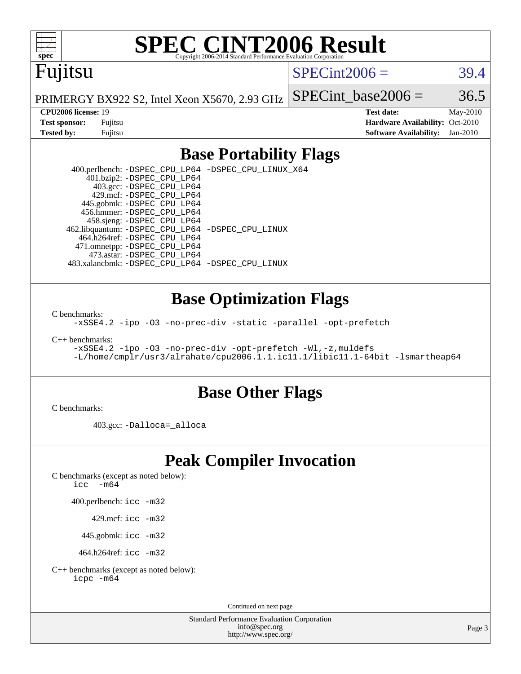

# **[SPEC CINT2006 Result](http://www.spec.org/auto/cpu2006/Docs/result-fields.html#SPECCINT2006Result)**

## Fujitsu

 $SPECint2006 = 39.4$  $SPECint2006 = 39.4$ 

PRIMERGY BX922 S2, Intel Xeon X5670, 2.93 GHz SPECint base2006 =  $36.5$ 

**[CPU2006 license:](http://www.spec.org/auto/cpu2006/Docs/result-fields.html#CPU2006license)** 19 **[Test date:](http://www.spec.org/auto/cpu2006/Docs/result-fields.html#Testdate)** May-2010 **[Test sponsor:](http://www.spec.org/auto/cpu2006/Docs/result-fields.html#Testsponsor)** Fujitsu **[Hardware Availability:](http://www.spec.org/auto/cpu2006/Docs/result-fields.html#HardwareAvailability)** Oct-2010 **[Tested by:](http://www.spec.org/auto/cpu2006/Docs/result-fields.html#Testedby)** Fujitsu **[Software Availability:](http://www.spec.org/auto/cpu2006/Docs/result-fields.html#SoftwareAvailability)** Jan-2010

### **[Base Portability Flags](http://www.spec.org/auto/cpu2006/Docs/result-fields.html#BasePortabilityFlags)**

 400.perlbench: [-DSPEC\\_CPU\\_LP64](http://www.spec.org/cpu2006/results/res2010q3/cpu2006-20100702-12113.flags.html#b400.perlbench_basePORTABILITY_DSPEC_CPU_LP64) [-DSPEC\\_CPU\\_LINUX\\_X64](http://www.spec.org/cpu2006/results/res2010q3/cpu2006-20100702-12113.flags.html#b400.perlbench_baseCPORTABILITY_DSPEC_CPU_LINUX_X64) 401.bzip2: [-DSPEC\\_CPU\\_LP64](http://www.spec.org/cpu2006/results/res2010q3/cpu2006-20100702-12113.flags.html#suite_basePORTABILITY401_bzip2_DSPEC_CPU_LP64) 403.gcc: [-DSPEC\\_CPU\\_LP64](http://www.spec.org/cpu2006/results/res2010q3/cpu2006-20100702-12113.flags.html#suite_basePORTABILITY403_gcc_DSPEC_CPU_LP64) 429.mcf: [-DSPEC\\_CPU\\_LP64](http://www.spec.org/cpu2006/results/res2010q3/cpu2006-20100702-12113.flags.html#suite_basePORTABILITY429_mcf_DSPEC_CPU_LP64) 445.gobmk: [-DSPEC\\_CPU\\_LP64](http://www.spec.org/cpu2006/results/res2010q3/cpu2006-20100702-12113.flags.html#suite_basePORTABILITY445_gobmk_DSPEC_CPU_LP64) 456.hmmer: [-DSPEC\\_CPU\\_LP64](http://www.spec.org/cpu2006/results/res2010q3/cpu2006-20100702-12113.flags.html#suite_basePORTABILITY456_hmmer_DSPEC_CPU_LP64) 458.sjeng: [-DSPEC\\_CPU\\_LP64](http://www.spec.org/cpu2006/results/res2010q3/cpu2006-20100702-12113.flags.html#suite_basePORTABILITY458_sjeng_DSPEC_CPU_LP64) 462.libquantum: [-DSPEC\\_CPU\\_LP64](http://www.spec.org/cpu2006/results/res2010q3/cpu2006-20100702-12113.flags.html#suite_basePORTABILITY462_libquantum_DSPEC_CPU_LP64) [-DSPEC\\_CPU\\_LINUX](http://www.spec.org/cpu2006/results/res2010q3/cpu2006-20100702-12113.flags.html#b462.libquantum_baseCPORTABILITY_DSPEC_CPU_LINUX) 464.h264ref: [-DSPEC\\_CPU\\_LP64](http://www.spec.org/cpu2006/results/res2010q3/cpu2006-20100702-12113.flags.html#suite_basePORTABILITY464_h264ref_DSPEC_CPU_LP64) 471.omnetpp: [-DSPEC\\_CPU\\_LP64](http://www.spec.org/cpu2006/results/res2010q3/cpu2006-20100702-12113.flags.html#suite_basePORTABILITY471_omnetpp_DSPEC_CPU_LP64) 473.astar: [-DSPEC\\_CPU\\_LP64](http://www.spec.org/cpu2006/results/res2010q3/cpu2006-20100702-12113.flags.html#suite_basePORTABILITY473_astar_DSPEC_CPU_LP64) 483.xalancbmk: [-DSPEC\\_CPU\\_LP64](http://www.spec.org/cpu2006/results/res2010q3/cpu2006-20100702-12113.flags.html#suite_basePORTABILITY483_xalancbmk_DSPEC_CPU_LP64) [-DSPEC\\_CPU\\_LINUX](http://www.spec.org/cpu2006/results/res2010q3/cpu2006-20100702-12113.flags.html#b483.xalancbmk_baseCXXPORTABILITY_DSPEC_CPU_LINUX)

#### **[Base Optimization Flags](http://www.spec.org/auto/cpu2006/Docs/result-fields.html#BaseOptimizationFlags)**

[C benchmarks](http://www.spec.org/auto/cpu2006/Docs/result-fields.html#Cbenchmarks):

[-xSSE4.2](http://www.spec.org/cpu2006/results/res2010q3/cpu2006-20100702-12113.flags.html#user_CCbase_f-xSSE42_f91528193cf0b216347adb8b939d4107) [-ipo](http://www.spec.org/cpu2006/results/res2010q3/cpu2006-20100702-12113.flags.html#user_CCbase_f-ipo) [-O3](http://www.spec.org/cpu2006/results/res2010q3/cpu2006-20100702-12113.flags.html#user_CCbase_f-O3) [-no-prec-div](http://www.spec.org/cpu2006/results/res2010q3/cpu2006-20100702-12113.flags.html#user_CCbase_f-no-prec-div) [-static](http://www.spec.org/cpu2006/results/res2010q3/cpu2006-20100702-12113.flags.html#user_CCbase_f-static) [-parallel](http://www.spec.org/cpu2006/results/res2010q3/cpu2006-20100702-12113.flags.html#user_CCbase_f-parallel) [-opt-prefetch](http://www.spec.org/cpu2006/results/res2010q3/cpu2006-20100702-12113.flags.html#user_CCbase_f-opt-prefetch)

[C++ benchmarks:](http://www.spec.org/auto/cpu2006/Docs/result-fields.html#CXXbenchmarks)

[-xSSE4.2](http://www.spec.org/cpu2006/results/res2010q3/cpu2006-20100702-12113.flags.html#user_CXXbase_f-xSSE42_f91528193cf0b216347adb8b939d4107) [-ipo](http://www.spec.org/cpu2006/results/res2010q3/cpu2006-20100702-12113.flags.html#user_CXXbase_f-ipo) [-O3](http://www.spec.org/cpu2006/results/res2010q3/cpu2006-20100702-12113.flags.html#user_CXXbase_f-O3) [-no-prec-div](http://www.spec.org/cpu2006/results/res2010q3/cpu2006-20100702-12113.flags.html#user_CXXbase_f-no-prec-div) [-opt-prefetch](http://www.spec.org/cpu2006/results/res2010q3/cpu2006-20100702-12113.flags.html#user_CXXbase_f-opt-prefetch) [-Wl,-z,muldefs](http://www.spec.org/cpu2006/results/res2010q3/cpu2006-20100702-12113.flags.html#user_CXXbase_link_force_multiple1_74079c344b956b9658436fd1b6dd3a8a) [-L/home/cmplr/usr3/alrahate/cpu2006.1.1.ic11.1/libic11.1-64bit -lsmartheap64](http://www.spec.org/cpu2006/results/res2010q3/cpu2006-20100702-12113.flags.html#user_CXXbase_SmartHeap64_e2306cda84805d1ab360117a79ff779c)

#### **[Base Other Flags](http://www.spec.org/auto/cpu2006/Docs/result-fields.html#BaseOtherFlags)**

[C benchmarks](http://www.spec.org/auto/cpu2006/Docs/result-fields.html#Cbenchmarks):

403.gcc: [-Dalloca=\\_alloca](http://www.spec.org/cpu2006/results/res2010q3/cpu2006-20100702-12113.flags.html#b403.gcc_baseEXTRA_CFLAGS_Dalloca_be3056838c12de2578596ca5467af7f3)

## **[Peak Compiler Invocation](http://www.spec.org/auto/cpu2006/Docs/result-fields.html#PeakCompilerInvocation)**

[C benchmarks \(except as noted below\)](http://www.spec.org/auto/cpu2006/Docs/result-fields.html#Cbenchmarksexceptasnotedbelow):

icc  $-m64$ 

400.perlbench: [icc -m32](http://www.spec.org/cpu2006/results/res2010q3/cpu2006-20100702-12113.flags.html#user_peakCCLD400_perlbench_intel_icc_32bit_a6a621f8d50482236b970c6ac5f55f93)

429.mcf: [icc -m32](http://www.spec.org/cpu2006/results/res2010q3/cpu2006-20100702-12113.flags.html#user_peakCCLD429_mcf_intel_icc_32bit_a6a621f8d50482236b970c6ac5f55f93)

445.gobmk: [icc -m32](http://www.spec.org/cpu2006/results/res2010q3/cpu2006-20100702-12113.flags.html#user_peakCCLD445_gobmk_intel_icc_32bit_a6a621f8d50482236b970c6ac5f55f93)

464.h264ref: [icc -m32](http://www.spec.org/cpu2006/results/res2010q3/cpu2006-20100702-12113.flags.html#user_peakCCLD464_h264ref_intel_icc_32bit_a6a621f8d50482236b970c6ac5f55f93)

[C++ benchmarks \(except as noted below\):](http://www.spec.org/auto/cpu2006/Docs/result-fields.html#CXXbenchmarksexceptasnotedbelow) [icpc -m64](http://www.spec.org/cpu2006/results/res2010q3/cpu2006-20100702-12113.flags.html#user_CXXpeak_intel_icpc_64bit_fc66a5337ce925472a5c54ad6a0de310)

Continued on next page

Standard Performance Evaluation Corporation [info@spec.org](mailto:info@spec.org) <http://www.spec.org/>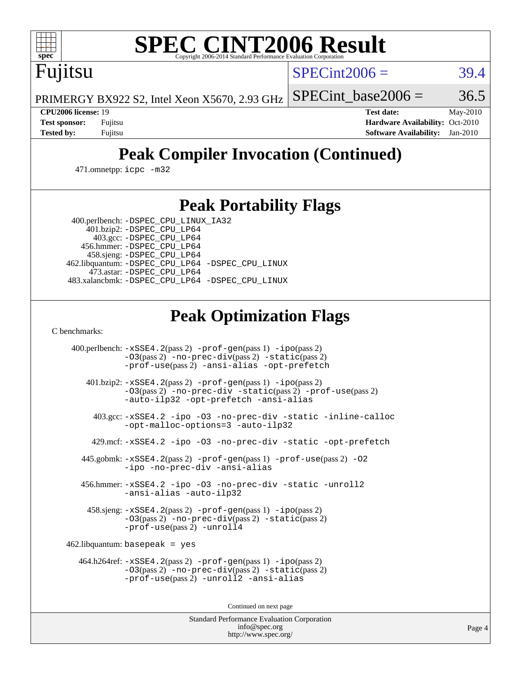

Fujitsu

# **[SPEC CINT2006 Result](http://www.spec.org/auto/cpu2006/Docs/result-fields.html#SPECCINT2006Result)**

 $SPECint2006 = 39.4$  $SPECint2006 = 39.4$ 

PRIMERGY BX922 S2, Intel Xeon X5670, 2.93 GHz SPECint base2006 =  $36.5$ 

**[CPU2006 license:](http://www.spec.org/auto/cpu2006/Docs/result-fields.html#CPU2006license)** 19 **[Test date:](http://www.spec.org/auto/cpu2006/Docs/result-fields.html#Testdate)** May-2010 **[Test sponsor:](http://www.spec.org/auto/cpu2006/Docs/result-fields.html#Testsponsor)** Fujitsu **[Hardware Availability:](http://www.spec.org/auto/cpu2006/Docs/result-fields.html#HardwareAvailability)** Oct-2010 **[Tested by:](http://www.spec.org/auto/cpu2006/Docs/result-fields.html#Testedby)** Fujitsu **[Software Availability:](http://www.spec.org/auto/cpu2006/Docs/result-fields.html#SoftwareAvailability)** Jan-2010

## **[Peak Compiler Invocation \(Continued\)](http://www.spec.org/auto/cpu2006/Docs/result-fields.html#PeakCompilerInvocation)**

471.omnetpp: [icpc -m32](http://www.spec.org/cpu2006/results/res2010q3/cpu2006-20100702-12113.flags.html#user_peakCXXLD471_omnetpp_intel_icpc_32bit_4e5a5ef1a53fd332b3c49e69c3330699)

## **[Peak Portability Flags](http://www.spec.org/auto/cpu2006/Docs/result-fields.html#PeakPortabilityFlags)**

400.perlbench: [-DSPEC\\_CPU\\_LINUX\\_IA32](http://www.spec.org/cpu2006/results/res2010q3/cpu2006-20100702-12113.flags.html#b400.perlbench_peakCPORTABILITY_DSPEC_CPU_LINUX_IA32)

 401.bzip2: [-DSPEC\\_CPU\\_LP64](http://www.spec.org/cpu2006/results/res2010q3/cpu2006-20100702-12113.flags.html#suite_peakPORTABILITY401_bzip2_DSPEC_CPU_LP64) 403.gcc: [-DSPEC\\_CPU\\_LP64](http://www.spec.org/cpu2006/results/res2010q3/cpu2006-20100702-12113.flags.html#suite_peakPORTABILITY403_gcc_DSPEC_CPU_LP64) 456.hmmer: [-DSPEC\\_CPU\\_LP64](http://www.spec.org/cpu2006/results/res2010q3/cpu2006-20100702-12113.flags.html#suite_peakPORTABILITY456_hmmer_DSPEC_CPU_LP64) 458.sjeng: [-DSPEC\\_CPU\\_LP64](http://www.spec.org/cpu2006/results/res2010q3/cpu2006-20100702-12113.flags.html#suite_peakPORTABILITY458_sjeng_DSPEC_CPU_LP64) 462.libquantum: [-DSPEC\\_CPU\\_LP64](http://www.spec.org/cpu2006/results/res2010q3/cpu2006-20100702-12113.flags.html#suite_peakPORTABILITY462_libquantum_DSPEC_CPU_LP64) [-DSPEC\\_CPU\\_LINUX](http://www.spec.org/cpu2006/results/res2010q3/cpu2006-20100702-12113.flags.html#b462.libquantum_peakCPORTABILITY_DSPEC_CPU_LINUX) 473.astar: [-DSPEC\\_CPU\\_LP64](http://www.spec.org/cpu2006/results/res2010q3/cpu2006-20100702-12113.flags.html#suite_peakPORTABILITY473_astar_DSPEC_CPU_LP64) 483.xalancbmk: [-DSPEC\\_CPU\\_LP64](http://www.spec.org/cpu2006/results/res2010q3/cpu2006-20100702-12113.flags.html#suite_peakPORTABILITY483_xalancbmk_DSPEC_CPU_LP64) [-DSPEC\\_CPU\\_LINUX](http://www.spec.org/cpu2006/results/res2010q3/cpu2006-20100702-12113.flags.html#b483.xalancbmk_peakCXXPORTABILITY_DSPEC_CPU_LINUX)

## **[Peak Optimization Flags](http://www.spec.org/auto/cpu2006/Docs/result-fields.html#PeakOptimizationFlags)**

[C benchmarks](http://www.spec.org/auto/cpu2006/Docs/result-fields.html#Cbenchmarks):

 400.perlbench: [-xSSE4.2](http://www.spec.org/cpu2006/results/res2010q3/cpu2006-20100702-12113.flags.html#user_peakPASS2_CFLAGSPASS2_LDCFLAGS400_perlbench_f-xSSE42_f91528193cf0b216347adb8b939d4107)(pass 2) [-prof-gen](http://www.spec.org/cpu2006/results/res2010q3/cpu2006-20100702-12113.flags.html#user_peakPASS1_CFLAGSPASS1_LDCFLAGS400_perlbench_prof_gen_e43856698f6ca7b7e442dfd80e94a8fc)(pass 1) [-ipo](http://www.spec.org/cpu2006/results/res2010q3/cpu2006-20100702-12113.flags.html#user_peakPASS2_CFLAGSPASS2_LDCFLAGS400_perlbench_f-ipo)(pass 2) [-O3](http://www.spec.org/cpu2006/results/res2010q3/cpu2006-20100702-12113.flags.html#user_peakPASS2_CFLAGSPASS2_LDCFLAGS400_perlbench_f-O3)(pass 2) [-no-prec-div](http://www.spec.org/cpu2006/results/res2010q3/cpu2006-20100702-12113.flags.html#user_peakPASS2_CFLAGSPASS2_LDCFLAGS400_perlbench_f-no-prec-div)(pass 2) [-static](http://www.spec.org/cpu2006/results/res2010q3/cpu2006-20100702-12113.flags.html#user_peakPASS2_CFLAGSPASS2_LDCFLAGS400_perlbench_f-static)(pass 2) [-prof-use](http://www.spec.org/cpu2006/results/res2010q3/cpu2006-20100702-12113.flags.html#user_peakPASS2_CFLAGSPASS2_LDCFLAGS400_perlbench_prof_use_bccf7792157ff70d64e32fe3e1250b55)(pass 2) [-ansi-alias](http://www.spec.org/cpu2006/results/res2010q3/cpu2006-20100702-12113.flags.html#user_peakCOPTIMIZE400_perlbench_f-ansi-alias) [-opt-prefetch](http://www.spec.org/cpu2006/results/res2010q3/cpu2006-20100702-12113.flags.html#user_peakCOPTIMIZE400_perlbench_f-opt-prefetch) 401.bzip2: [-xSSE4.2](http://www.spec.org/cpu2006/results/res2010q3/cpu2006-20100702-12113.flags.html#user_peakPASS2_CFLAGSPASS2_LDCFLAGS401_bzip2_f-xSSE42_f91528193cf0b216347adb8b939d4107)(pass 2) [-prof-gen](http://www.spec.org/cpu2006/results/res2010q3/cpu2006-20100702-12113.flags.html#user_peakPASS1_CFLAGSPASS1_LDCFLAGS401_bzip2_prof_gen_e43856698f6ca7b7e442dfd80e94a8fc)(pass 1) [-ipo](http://www.spec.org/cpu2006/results/res2010q3/cpu2006-20100702-12113.flags.html#user_peakPASS2_CFLAGSPASS2_LDCFLAGS401_bzip2_f-ipo)(pass 2) [-O3](http://www.spec.org/cpu2006/results/res2010q3/cpu2006-20100702-12113.flags.html#user_peakPASS2_CFLAGSPASS2_LDCFLAGS401_bzip2_f-O3)(pass 2) [-no-prec-div](http://www.spec.org/cpu2006/results/res2010q3/cpu2006-20100702-12113.flags.html#user_peakCOPTIMIZEPASS2_CFLAGSPASS2_LDCFLAGS401_bzip2_f-no-prec-div) [-static](http://www.spec.org/cpu2006/results/res2010q3/cpu2006-20100702-12113.flags.html#user_peakPASS2_CFLAGSPASS2_LDCFLAGS401_bzip2_f-static)(pass 2) [-prof-use](http://www.spec.org/cpu2006/results/res2010q3/cpu2006-20100702-12113.flags.html#user_peakPASS2_CFLAGSPASS2_LDCFLAGS401_bzip2_prof_use_bccf7792157ff70d64e32fe3e1250b55)(pass 2) [-auto-ilp32](http://www.spec.org/cpu2006/results/res2010q3/cpu2006-20100702-12113.flags.html#user_peakCOPTIMIZE401_bzip2_f-auto-ilp32) [-opt-prefetch](http://www.spec.org/cpu2006/results/res2010q3/cpu2006-20100702-12113.flags.html#user_peakCOPTIMIZE401_bzip2_f-opt-prefetch) [-ansi-alias](http://www.spec.org/cpu2006/results/res2010q3/cpu2006-20100702-12113.flags.html#user_peakCOPTIMIZE401_bzip2_f-ansi-alias) 403.gcc: [-xSSE4.2](http://www.spec.org/cpu2006/results/res2010q3/cpu2006-20100702-12113.flags.html#user_peakCOPTIMIZE403_gcc_f-xSSE42_f91528193cf0b216347adb8b939d4107) [-ipo](http://www.spec.org/cpu2006/results/res2010q3/cpu2006-20100702-12113.flags.html#user_peakCOPTIMIZE403_gcc_f-ipo) [-O3](http://www.spec.org/cpu2006/results/res2010q3/cpu2006-20100702-12113.flags.html#user_peakCOPTIMIZE403_gcc_f-O3) [-no-prec-div](http://www.spec.org/cpu2006/results/res2010q3/cpu2006-20100702-12113.flags.html#user_peakCOPTIMIZE403_gcc_f-no-prec-div) [-static](http://www.spec.org/cpu2006/results/res2010q3/cpu2006-20100702-12113.flags.html#user_peakCOPTIMIZE403_gcc_f-static) [-inline-calloc](http://www.spec.org/cpu2006/results/res2010q3/cpu2006-20100702-12113.flags.html#user_peakCOPTIMIZE403_gcc_f-inline-calloc) [-opt-malloc-options=3](http://www.spec.org/cpu2006/results/res2010q3/cpu2006-20100702-12113.flags.html#user_peakCOPTIMIZE403_gcc_f-opt-malloc-options_13ab9b803cf986b4ee62f0a5998c2238) [-auto-ilp32](http://www.spec.org/cpu2006/results/res2010q3/cpu2006-20100702-12113.flags.html#user_peakCOPTIMIZE403_gcc_f-auto-ilp32) 429.mcf: [-xSSE4.2](http://www.spec.org/cpu2006/results/res2010q3/cpu2006-20100702-12113.flags.html#user_peakCOPTIMIZE429_mcf_f-xSSE42_f91528193cf0b216347adb8b939d4107) [-ipo](http://www.spec.org/cpu2006/results/res2010q3/cpu2006-20100702-12113.flags.html#user_peakCOPTIMIZE429_mcf_f-ipo) [-O3](http://www.spec.org/cpu2006/results/res2010q3/cpu2006-20100702-12113.flags.html#user_peakCOPTIMIZE429_mcf_f-O3) [-no-prec-div](http://www.spec.org/cpu2006/results/res2010q3/cpu2006-20100702-12113.flags.html#user_peakCOPTIMIZE429_mcf_f-no-prec-div) [-static](http://www.spec.org/cpu2006/results/res2010q3/cpu2006-20100702-12113.flags.html#user_peakCOPTIMIZE429_mcf_f-static) [-opt-prefetch](http://www.spec.org/cpu2006/results/res2010q3/cpu2006-20100702-12113.flags.html#user_peakCOPTIMIZE429_mcf_f-opt-prefetch) 445.gobmk: [-xSSE4.2](http://www.spec.org/cpu2006/results/res2010q3/cpu2006-20100702-12113.flags.html#user_peakPASS2_CFLAGSPASS2_LDCFLAGS445_gobmk_f-xSSE42_f91528193cf0b216347adb8b939d4107)(pass 2) [-prof-gen](http://www.spec.org/cpu2006/results/res2010q3/cpu2006-20100702-12113.flags.html#user_peakPASS1_CFLAGSPASS1_LDCFLAGS445_gobmk_prof_gen_e43856698f6ca7b7e442dfd80e94a8fc)(pass 1) [-prof-use](http://www.spec.org/cpu2006/results/res2010q3/cpu2006-20100702-12113.flags.html#user_peakPASS2_CFLAGSPASS2_LDCFLAGS445_gobmk_prof_use_bccf7792157ff70d64e32fe3e1250b55)(pass 2) [-O2](http://www.spec.org/cpu2006/results/res2010q3/cpu2006-20100702-12113.flags.html#user_peakCOPTIMIZE445_gobmk_f-O2) [-ipo](http://www.spec.org/cpu2006/results/res2010q3/cpu2006-20100702-12113.flags.html#user_peakCOPTIMIZE445_gobmk_f-ipo) [-no-prec-div](http://www.spec.org/cpu2006/results/res2010q3/cpu2006-20100702-12113.flags.html#user_peakCOPTIMIZE445_gobmk_f-no-prec-div) [-ansi-alias](http://www.spec.org/cpu2006/results/res2010q3/cpu2006-20100702-12113.flags.html#user_peakCOPTIMIZE445_gobmk_f-ansi-alias) 456.hmmer: [-xSSE4.2](http://www.spec.org/cpu2006/results/res2010q3/cpu2006-20100702-12113.flags.html#user_peakCOPTIMIZE456_hmmer_f-xSSE42_f91528193cf0b216347adb8b939d4107) [-ipo](http://www.spec.org/cpu2006/results/res2010q3/cpu2006-20100702-12113.flags.html#user_peakCOPTIMIZE456_hmmer_f-ipo) [-O3](http://www.spec.org/cpu2006/results/res2010q3/cpu2006-20100702-12113.flags.html#user_peakCOPTIMIZE456_hmmer_f-O3) [-no-prec-div](http://www.spec.org/cpu2006/results/res2010q3/cpu2006-20100702-12113.flags.html#user_peakCOPTIMIZE456_hmmer_f-no-prec-div) [-static](http://www.spec.org/cpu2006/results/res2010q3/cpu2006-20100702-12113.flags.html#user_peakCOPTIMIZE456_hmmer_f-static) [-unroll2](http://www.spec.org/cpu2006/results/res2010q3/cpu2006-20100702-12113.flags.html#user_peakCOPTIMIZE456_hmmer_f-unroll_784dae83bebfb236979b41d2422d7ec2) [-ansi-alias](http://www.spec.org/cpu2006/results/res2010q3/cpu2006-20100702-12113.flags.html#user_peakCOPTIMIZE456_hmmer_f-ansi-alias) [-auto-ilp32](http://www.spec.org/cpu2006/results/res2010q3/cpu2006-20100702-12113.flags.html#user_peakCOPTIMIZE456_hmmer_f-auto-ilp32) 458.sjeng: [-xSSE4.2](http://www.spec.org/cpu2006/results/res2010q3/cpu2006-20100702-12113.flags.html#user_peakPASS2_CFLAGSPASS2_LDCFLAGS458_sjeng_f-xSSE42_f91528193cf0b216347adb8b939d4107)(pass 2) [-prof-gen](http://www.spec.org/cpu2006/results/res2010q3/cpu2006-20100702-12113.flags.html#user_peakPASS1_CFLAGSPASS1_LDCFLAGS458_sjeng_prof_gen_e43856698f6ca7b7e442dfd80e94a8fc)(pass 1) [-ipo](http://www.spec.org/cpu2006/results/res2010q3/cpu2006-20100702-12113.flags.html#user_peakPASS2_CFLAGSPASS2_LDCFLAGS458_sjeng_f-ipo)(pass 2) [-O3](http://www.spec.org/cpu2006/results/res2010q3/cpu2006-20100702-12113.flags.html#user_peakPASS2_CFLAGSPASS2_LDCFLAGS458_sjeng_f-O3)(pass 2) [-no-prec-div](http://www.spec.org/cpu2006/results/res2010q3/cpu2006-20100702-12113.flags.html#user_peakPASS2_CFLAGSPASS2_LDCFLAGS458_sjeng_f-no-prec-div)(pass 2) [-static](http://www.spec.org/cpu2006/results/res2010q3/cpu2006-20100702-12113.flags.html#user_peakPASS2_CFLAGSPASS2_LDCFLAGS458_sjeng_f-static)(pass 2) [-prof-use](http://www.spec.org/cpu2006/results/res2010q3/cpu2006-20100702-12113.flags.html#user_peakPASS2_CFLAGSPASS2_LDCFLAGS458_sjeng_prof_use_bccf7792157ff70d64e32fe3e1250b55)(pass 2) [-unroll4](http://www.spec.org/cpu2006/results/res2010q3/cpu2006-20100702-12113.flags.html#user_peakCOPTIMIZE458_sjeng_f-unroll_4e5e4ed65b7fd20bdcd365bec371b81f) 462.libquantum: basepeak = yes 464.h264ref: [-xSSE4.2](http://www.spec.org/cpu2006/results/res2010q3/cpu2006-20100702-12113.flags.html#user_peakPASS2_CFLAGSPASS2_LDCFLAGS464_h264ref_f-xSSE42_f91528193cf0b216347adb8b939d4107)(pass 2) [-prof-gen](http://www.spec.org/cpu2006/results/res2010q3/cpu2006-20100702-12113.flags.html#user_peakPASS1_CFLAGSPASS1_LDCFLAGS464_h264ref_prof_gen_e43856698f6ca7b7e442dfd80e94a8fc)(pass 1) [-ipo](http://www.spec.org/cpu2006/results/res2010q3/cpu2006-20100702-12113.flags.html#user_peakPASS2_CFLAGSPASS2_LDCFLAGS464_h264ref_f-ipo)(pass 2) [-O3](http://www.spec.org/cpu2006/results/res2010q3/cpu2006-20100702-12113.flags.html#user_peakPASS2_CFLAGSPASS2_LDCFLAGS464_h264ref_f-O3)(pass 2) [-no-prec-div](http://www.spec.org/cpu2006/results/res2010q3/cpu2006-20100702-12113.flags.html#user_peakPASS2_CFLAGSPASS2_LDCFLAGS464_h264ref_f-no-prec-div)(pass 2) [-static](http://www.spec.org/cpu2006/results/res2010q3/cpu2006-20100702-12113.flags.html#user_peakPASS2_CFLAGSPASS2_LDCFLAGS464_h264ref_f-static)(pass 2) [-prof-use](http://www.spec.org/cpu2006/results/res2010q3/cpu2006-20100702-12113.flags.html#user_peakPASS2_CFLAGSPASS2_LDCFLAGS464_h264ref_prof_use_bccf7792157ff70d64e32fe3e1250b55)(pass 2) [-unroll2](http://www.spec.org/cpu2006/results/res2010q3/cpu2006-20100702-12113.flags.html#user_peakCOPTIMIZE464_h264ref_f-unroll_784dae83bebfb236979b41d2422d7ec2) [-ansi-alias](http://www.spec.org/cpu2006/results/res2010q3/cpu2006-20100702-12113.flags.html#user_peakCOPTIMIZE464_h264ref_f-ansi-alias)

Continued on next page

Standard Performance Evaluation Corporation [info@spec.org](mailto:info@spec.org) <http://www.spec.org/>